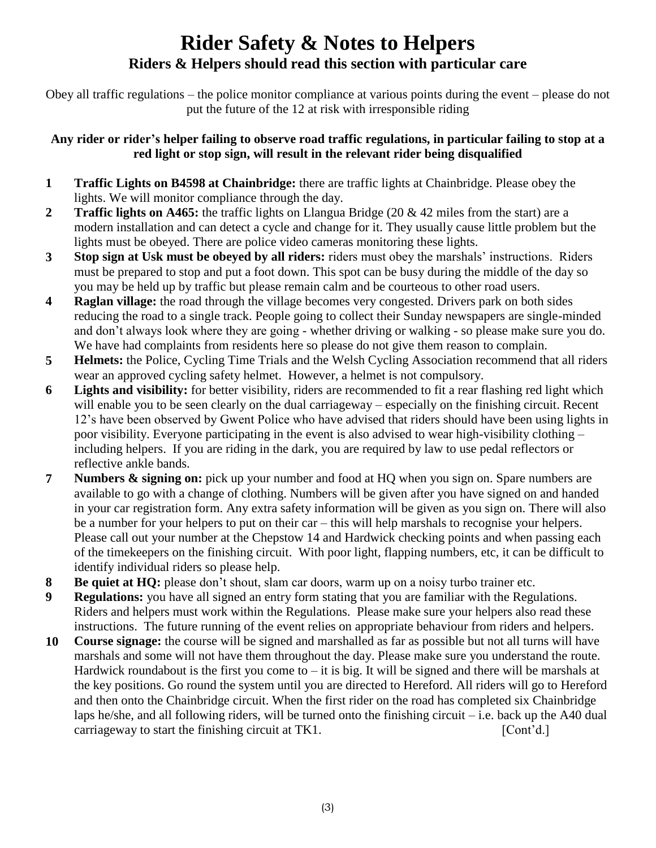# **Rider Safety & Notes to Helpers Riders & Helpers should read this section with particular care**

Obey all traffic regulations – the police monitor compliance at various points during the event – please do not put the future of the 12 at risk with irresponsible riding

### **Any rider or rider's helper failing to observe road traffic regulations, in particular failing to stop at a red light or stop sign, will result in the relevant rider being disqualified**

- **1 Traffic Lights on B4598 at Chainbridge:** there are traffic lights at Chainbridge. Please obey the lights. We will monitor compliance through the day.
- **2 Traffic lights on A465:** the traffic lights on Llangua Bridge (20 & 42 miles from the start) are a modern installation and can detect a cycle and change for it. They usually cause little problem but the lights must be obeyed. There are police video cameras monitoring these lights.
- **3 Stop sign at Usk must be obeyed by all riders:** riders must obey the marshals' instructions. Riders must be prepared to stop and put a foot down. This spot can be busy during the middle of the day so you may be held up by traffic but please remain calm and be courteous to other road users.
- **4 Raglan village:** the road through the village becomes very congested. Drivers park on both sides reducing the road to a single track. People going to collect their Sunday newspapers are single-minded and don't always look where they are going - whether driving or walking - so please make sure you do. We have had complaints from residents here so please do not give them reason to complain.
- **5 Helmets:** the Police, Cycling Time Trials and the Welsh Cycling Association recommend that all riders wear an approved cycling safety helmet. However, a helmet is not compulsory.
- **6 Lights and visibility:** for better visibility, riders are recommended to fit a rear flashing red light which will enable you to be seen clearly on the dual carriageway – especially on the finishing circuit. Recent 12's have been observed by Gwent Police who have advised that riders should have been using lights in poor visibility. Everyone participating in the event is also advised to wear high-visibility clothing – including helpers. If you are riding in the dark, you are required by law to use pedal reflectors or reflective ankle bands.
- **7 Numbers & signing on:** pick up your number and food at HQ when you sign on. Spare numbers are available to go with a change of clothing. Numbers will be given after you have signed on and handed in your car registration form. Any extra safety information will be given as you sign on. There will also be a number for your helpers to put on their car – this will help marshals to recognise your helpers. Please call out your number at the Chepstow 14 and Hardwick checking points and when passing each of the timekeepers on the finishing circuit. With poor light, flapping numbers, etc, it can be difficult to identify individual riders so please help.
- **8 Be quiet at HQ:** please don't shout, slam car doors, warm up on a noisy turbo trainer etc.
- **9 Regulations:** you have all signed an entry form stating that you are familiar with the Regulations. Riders and helpers must work within the Regulations. Please make sure your helpers also read these instructions. The future running of the event relies on appropriate behaviour from riders and helpers.
- **10 Course signage:** the course will be signed and marshalled as far as possible but not all turns will have marshals and some will not have them throughout the day. Please make sure you understand the route. Hardwick roundabout is the first you come to  $-$  it is big. It will be signed and there will be marshals at the key positions. Go round the system until you are directed to Hereford. All riders will go to Hereford and then onto the Chainbridge circuit. When the first rider on the road has completed six Chainbridge laps he/she, and all following riders, will be turned onto the finishing circuit – i.e. back up the A40 dual carriageway to start the finishing circuit at TK1. [Cont'd.]